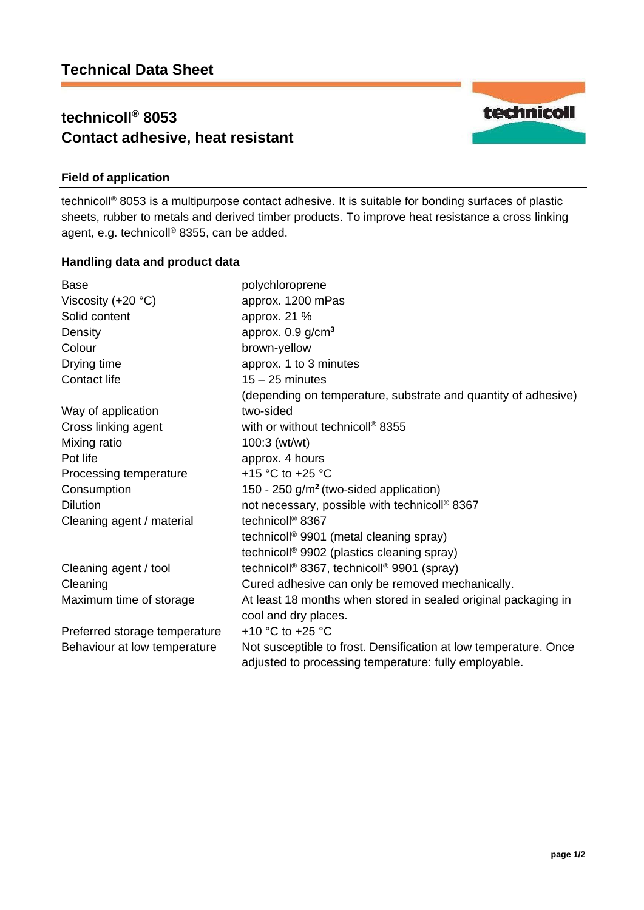# **technicoll® 8053 Contact adhesive, heat resistant**

# **Field of application**

technicoll® 8053 is a multipurpose contact adhesive. It is suitable for bonding surfaces of plastic sheets, rubber to metals and derived timber products. To improve heat resistance a cross linking agent, e.g. technicoll® 8355, can be added.

## **Handling data and product data**

| <b>Base</b>                   | polychloroprene                                                                                                           |
|-------------------------------|---------------------------------------------------------------------------------------------------------------------------|
| Viscosity $(+20 °C)$          | approx. 1200 mPas                                                                                                         |
| Solid content                 | approx. 21 %                                                                                                              |
| Density                       | approx. $0.9$ g/cm <sup>3</sup>                                                                                           |
| Colour                        | brown-yellow                                                                                                              |
| Drying time                   | approx. 1 to 3 minutes                                                                                                    |
| <b>Contact life</b>           | $15 - 25$ minutes                                                                                                         |
|                               | (depending on temperature, substrate and quantity of adhesive)                                                            |
| Way of application            | two-sided                                                                                                                 |
| Cross linking agent           | with or without technicoll <sup>®</sup> 8355                                                                              |
| Mixing ratio                  | $100:3$ (wt/wt)                                                                                                           |
| Pot life                      | approx. 4 hours                                                                                                           |
| Processing temperature        | +15 °C to +25 °C                                                                                                          |
| Consumption                   | 150 - 250 $g/m2$ (two-sided application)                                                                                  |
| <b>Dilution</b>               | not necessary, possible with technicoll <sup>®</sup> 8367                                                                 |
| Cleaning agent / material     | technicoll <sup>®</sup> 8367                                                                                              |
|                               | technicoll <sup>®</sup> 9901 (metal cleaning spray)                                                                       |
|                               | technicoll <sup>®</sup> 9902 (plastics cleaning spray)                                                                    |
| Cleaning agent / tool         | technicoll <sup>®</sup> 8367, technicoll <sup>®</sup> 9901 (spray)                                                        |
| Cleaning                      | Cured adhesive can only be removed mechanically.                                                                          |
| Maximum time of storage       | At least 18 months when stored in sealed original packaging in                                                            |
|                               | cool and dry places.                                                                                                      |
| Preferred storage temperature | +10 $^{\circ}$ C to +25 $^{\circ}$ C                                                                                      |
| Behaviour at low temperature  | Not susceptible to frost. Densification at low temperature. Once<br>adjusted to processing temperature: fully employable. |